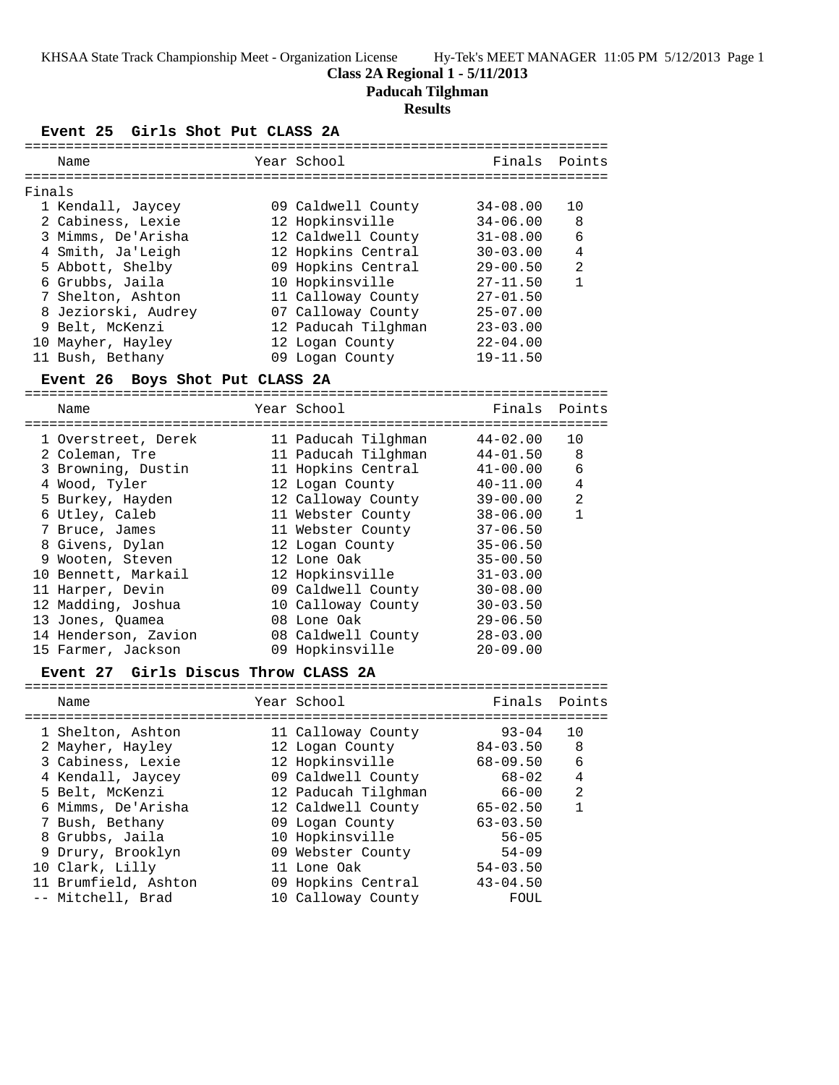# **Class 2A Regional 1 - 5/11/2013**

**Paducah Tilghman**

#### **Results**

#### **Event 25 Girls Shot Put CLASS 2A**

| Name                | Year School         | Finals       | Points         |
|---------------------|---------------------|--------------|----------------|
| Finals              |                     |              |                |
| 1 Kendall, Jaycey   | 09 Caldwell County  | $34 - 08.00$ | 10             |
| 2 Cabiness, Lexie   | 12 Hopkinsville     | $34 - 06.00$ | 8              |
| 3 Mimms, De'Arisha  | 12 Caldwell County  | $31 - 08.00$ | 6              |
| 4 Smith, Ja'Leigh   | 12 Hopkins Central  | $30 - 03.00$ | $\overline{4}$ |
| 5 Abbott, Shelby    | 09 Hopkins Central  | $29 - 00.50$ | 2              |
| 6 Grubbs, Jaila     | 10 Hopkinsville     | $27 - 11.50$ | 1              |
| 7 Shelton, Ashton   | 11 Calloway County  | $27 - 01.50$ |                |
| 8 Jeziorski, Audrey | 07 Calloway County  | $25 - 07.00$ |                |
| 9 Belt, McKenzi     | 12 Paducah Tilghman | $23 - 03.00$ |                |
| 10 Mayher, Hayley   | 12 Logan County     | $22 - 04.00$ |                |
| 11 Bush, Bethany    | 09 Logan County     | $19 - 11.50$ |                |
|                     |                     |              |                |

#### **Event 26 Boys Shot Put CLASS 2A**

=======================================================================

| Name                 | Year School |  | Finals                                                                                                                                                                                                                                                                                                       | Points       |
|----------------------|-------------|--|--------------------------------------------------------------------------------------------------------------------------------------------------------------------------------------------------------------------------------------------------------------------------------------------------------------|--------------|
| 1 Overstreet, Derek  |             |  | 44-02.00                                                                                                                                                                                                                                                                                                     | 10           |
| 2 Coleman, Tre       |             |  | $44 - 01.50$                                                                                                                                                                                                                                                                                                 | 8            |
| 3 Browning, Dustin   |             |  | $41 - 00.00$                                                                                                                                                                                                                                                                                                 | 6            |
| 4 Wood, Tyler        |             |  | $40 - 11.00$                                                                                                                                                                                                                                                                                                 | 4            |
| 5 Burkey, Hayden     |             |  | 39-00.00                                                                                                                                                                                                                                                                                                     | 2            |
| 6 Utley, Caleb       |             |  | $38 - 06.00$                                                                                                                                                                                                                                                                                                 | $\mathbf{1}$ |
| 7 Bruce, James       |             |  | $37 - 06.50$                                                                                                                                                                                                                                                                                                 |              |
| 8 Givens, Dylan      |             |  | $35 - 06.50$                                                                                                                                                                                                                                                                                                 |              |
| 9 Wooten, Steven     |             |  | $35 - 00.50$                                                                                                                                                                                                                                                                                                 |              |
| 10 Bennett, Markail  |             |  | $31 - 03.00$                                                                                                                                                                                                                                                                                                 |              |
| 11 Harper, Devin     |             |  | $30 - 08.00$                                                                                                                                                                                                                                                                                                 |              |
| 12 Madding, Joshua   |             |  | $30 - 03.50$                                                                                                                                                                                                                                                                                                 |              |
| 13 Jones, Ouamea     |             |  | $29 - 06.50$                                                                                                                                                                                                                                                                                                 |              |
| 14 Henderson, Zavion |             |  | $28 - 03.00$                                                                                                                                                                                                                                                                                                 |              |
| 15 Farmer, Jackson   |             |  | $20 - 09.00$                                                                                                                                                                                                                                                                                                 |              |
|                      |             |  | 11 Paducah Tilghman<br>11 Paducah Tilghman<br>11 Hopkins Central<br>12 Logan County<br>12 Calloway County<br>11 Webster County<br>11 Webster County<br>12 Logan County<br>12 Lone Oak<br>12 Hopkinsville<br>09 Caldwell County<br>10 Calloway County<br>08 Lone Oak<br>08 Caldwell County<br>09 Hopkinsville |              |

#### **Event 27 Girls Discus Throw CLASS 2A**

| Name                 | Year School         | Finals Points |                |
|----------------------|---------------------|---------------|----------------|
|                      |                     |               |                |
| 1 Shelton, Ashton    | 11 Calloway County  | $93 - 04$     | 10             |
| 2 Mayher, Hayley     | 12 Logan County     | $84 - 03.50$  | 8              |
| 3 Cabiness, Lexie    | 12 Hopkinsville     | $68 - 09.50$  | 6              |
| 4 Kendall, Jaycey    | 09 Caldwell County  | 68-02         | 4              |
| 5 Belt, McKenzi      | 12 Paducah Tilghman | 66-00         | $\mathfrak{D}$ |
| 6 Mimms, De'Arisha   | 12 Caldwell County  | $65 - 02.50$  |                |
| 7 Bush, Bethany      | 09 Logan County     | $63 - 03.50$  |                |
| 8 Grubbs, Jaila      | 10 Hopkinsville     | $56 - 05$     |                |
| 9 Drury, Brooklyn    | 09 Webster County   | $54 - 09$     |                |
| 10 Clark, Lilly      | 11 Lone Oak         | $54 - 03.50$  |                |
| 11 Brumfield, Ashton | 09 Hopkins Central  | $43 - 04.50$  |                |
| -- Mitchell, Brad    | 10 Calloway County  | FOUL          |                |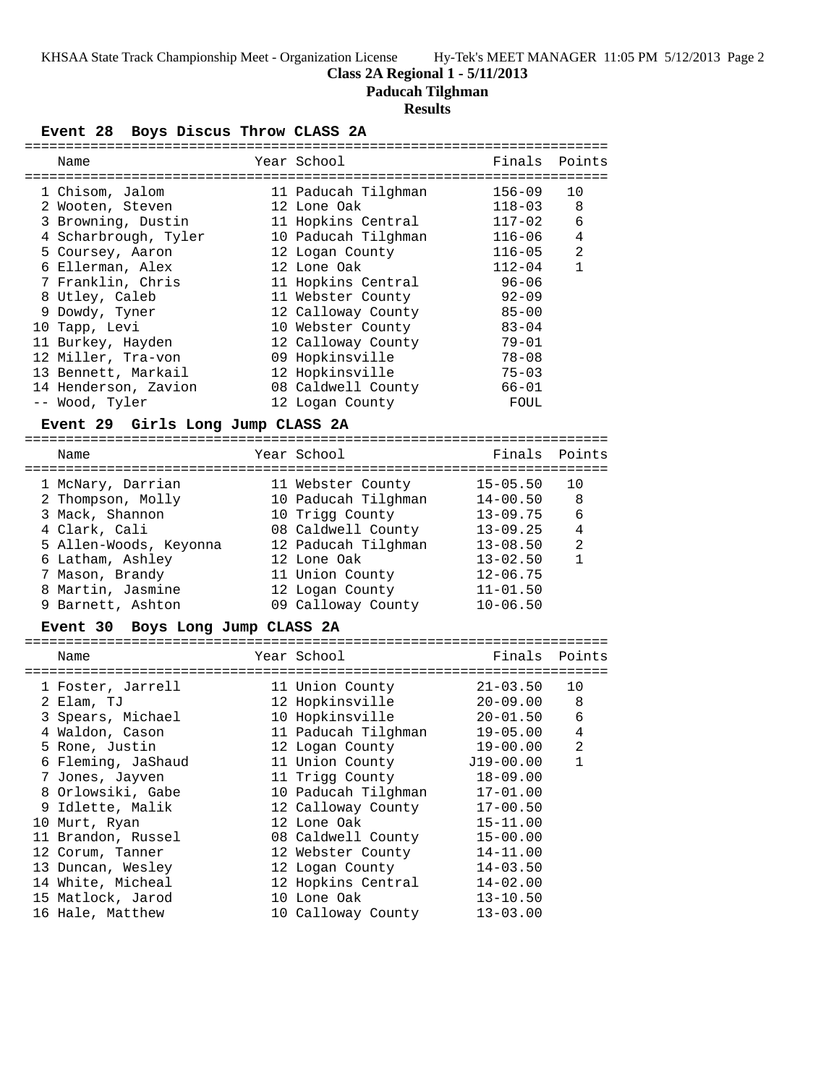# **Class 2A Regional 1 - 5/11/2013**

**Paducah Tilghman**

# **Results**

**Event 28 Boys Discus Throw CLASS 2A**

| ============================      |                     |              |                |
|-----------------------------------|---------------------|--------------|----------------|
| Name                              | Year School         | Finals       | Points         |
|                                   |                     |              |                |
| 1 Chisom, Jalom                   | 11 Paducah Tilghman | $156 - 09$   | 10             |
| 2 Wooten, Steven                  | 12 Lone Oak         | $118 - 03$   | 8              |
| 3 Browning, Dustin                | 11 Hopkins Central  | $117 - 02$   | 6              |
| 4 Scharbrough, Tyler              | 10 Paducah Tilghman | 116-06       | 4              |
| 5 Coursey, Aaron                  | 12 Logan County     | $116 - 05$   | $\overline{a}$ |
| 6 Ellerman, Alex                  | 12 Lone Oak         | $112 - 04$   | $\mathbf{1}$   |
|                                   |                     |              |                |
| 7 Franklin, Chris                 | 11 Hopkins Central  | $96 - 06$    |                |
| 8 Utley, Caleb                    | 11 Webster County   | $92 - 09$    |                |
| 9 Dowdy, Tyner                    | 12 Calloway County  | $85 - 00$    |                |
| 10 Tapp, Levi                     | 10 Webster County   | $83 - 04$    |                |
| 11 Burkey, Hayden                 | 12 Calloway County  | $79 - 01$    |                |
| 12 Miller, Tra-von                | 09 Hopkinsville     | $78 - 08$    |                |
| 13 Bennett, Markail               | 12 Hopkinsville     | $75 - 03$    |                |
| 14 Henderson, Zavion              | 08 Caldwell County  | $66 - 01$    |                |
| -- Wood, Tyler                    | 12 Logan County     | FOUL         |                |
|                                   |                     |              |                |
| Event 29 Girls Long Jump CLASS 2A |                     |              |                |
| Name                              | Year School         | Finals       | Points         |
|                                   |                     |              |                |
| 1 McNary, Darrian                 | 11 Webster County   | $15 - 05.50$ | 10             |
| 2 Thompson, Molly                 | 10 Paducah Tilghman | $14 - 00.50$ | 8              |
| 3 Mack, Shannon                   | 10 Trigg County     | $13 - 09.75$ | 6              |
| 4 Clark, Cali                     | 08 Caldwell County  | $13 - 09.25$ | 4              |
| 5 Allen-Woods, Keyonna            | 12 Paducah Tilghman | $13 - 08.50$ | 2              |
| 6 Latham, Ashley                  | 12 Lone Oak         | $13 - 02.50$ | $\mathbf{1}$   |
| 7 Mason, Brandy                   | 11 Union County     | $12 - 06.75$ |                |
| 8 Martin, Jasmine                 | 12 Logan County     | $11 - 01.50$ |                |
| 9 Barnett, Ashton                 | 09 Calloway County  | $10 - 06.50$ |                |
|                                   |                     |              |                |
| Event 30 Boys Long Jump CLASS 2A  |                     |              |                |
| Name                              | Year School         | Finals       | Points         |
|                                   |                     |              |                |
| 1 Foster, Jarrell                 | 11 Union County     | $21 - 03.50$ | 10             |
| 2 Elam, TJ                        | 12 Hopkinsville     | $20 - 09.00$ | 8              |
| 3 Spears, Michael                 | 10 Hopkinsville     | $20 - 01.50$ | 6              |
| 4 Waldon, Cason                   | 11 Paducah Tilghman | $19 - 05.00$ | 4              |
| 5 Rone, Justin                    | 12 Logan County     | $19 - 00.00$ | 2              |
| 6 Fleming, JaShaud                | 11 Union County     | $J19-00.00$  | 1              |
| 7 Jones, Jayven                   | 11 Trigg County     | $18 - 09.00$ |                |
|                                   |                     |              |                |
| 8 Orlowsiki, Gabe                 | 10 Paducah Tilghman | $17 - 01.00$ |                |
| 9 Idlette, Malik                  | 12 Calloway County  | $17 - 00.50$ |                |
| 10 Murt, Ryan                     | 12 Lone Oak         | $15 - 11.00$ |                |
| 11 Brandon, Russel                | 08 Caldwell County  | $15 - 00.00$ |                |
| 12 Corum, Tanner                  | 12 Webster County   | $14 - 11.00$ |                |
| 13 Duncan, Wesley                 | 12 Logan County     | $14 - 03.50$ |                |
| 14 White, Micheal                 | 12 Hopkins Central  | $14 - 02.00$ |                |
| 15 Matlock, Jarod                 | 10 Lone Oak         | $13 - 10.50$ |                |
| 16 Hale, Matthew                  | 10 Calloway County  | $13 - 03.00$ |                |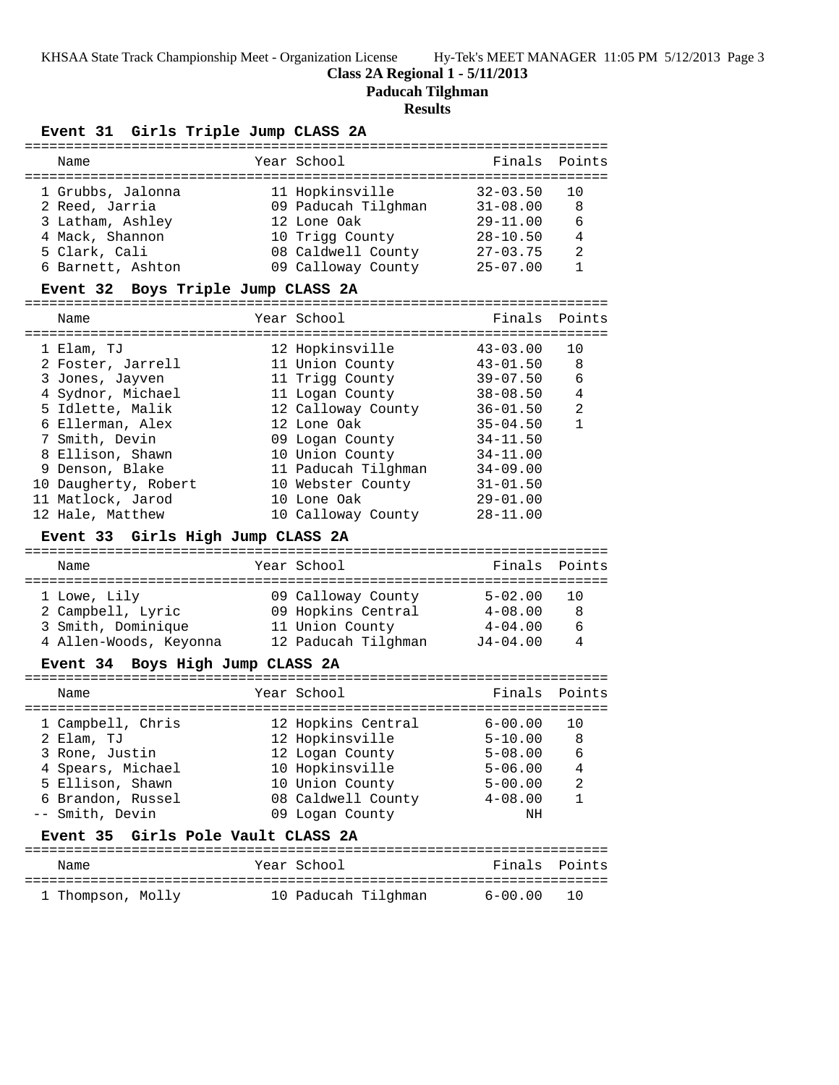KHSAA State Track Championship Meet - Organization License Hy-Tek's MEET MANAGER 11:05 PM 5/12/2013 Page 3

# **Class 2A Regional 1 - 5/11/2013**

**Paducah Tilghman**

# **Results**

#### **Event 31 Girls Triple Jump CLASS 2A**

| Name                               | Year School                                                                                                                                                                                                                                                                                                                                                                                                                                                                                                                                                                                                                                                                                                                                                                                                                                                                                                                                                                                    | Finals Points |                |
|------------------------------------|------------------------------------------------------------------------------------------------------------------------------------------------------------------------------------------------------------------------------------------------------------------------------------------------------------------------------------------------------------------------------------------------------------------------------------------------------------------------------------------------------------------------------------------------------------------------------------------------------------------------------------------------------------------------------------------------------------------------------------------------------------------------------------------------------------------------------------------------------------------------------------------------------------------------------------------------------------------------------------------------|---------------|----------------|
|                                    |                                                                                                                                                                                                                                                                                                                                                                                                                                                                                                                                                                                                                                                                                                                                                                                                                                                                                                                                                                                                |               |                |
| 1 Grubbs, Jalonna                  | 11 Hopkinsville                                                                                                                                                                                                                                                                                                                                                                                                                                                                                                                                                                                                                                                                                                                                                                                                                                                                                                                                                                                | $32 - 03.50$  | 10             |
| 2 Reed, Jarria                     | 09 Paducah Tilghman 31-08.00                                                                                                                                                                                                                                                                                                                                                                                                                                                                                                                                                                                                                                                                                                                                                                                                                                                                                                                                                                   |               | 8              |
| 3 Latham, Ashley                   |                                                                                                                                                                                                                                                                                                                                                                                                                                                                                                                                                                                                                                                                                                                                                                                                                                                                                                                                                                                                | $29 - 11.00$  | 6              |
| 4 Mack, Shannon                    |                                                                                                                                                                                                                                                                                                                                                                                                                                                                                                                                                                                                                                                                                                                                                                                                                                                                                                                                                                                                |               | $\overline{4}$ |
| 5 Clark, Cali                      |                                                                                                                                                                                                                                                                                                                                                                                                                                                                                                                                                                                                                                                                                                                                                                                                                                                                                                                                                                                                |               | 2              |
| 6 Barnett, Ashton                  |                                                                                                                                                                                                                                                                                                                                                                                                                                                                                                                                                                                                                                                                                                                                                                                                                                                                                                                                                                                                |               | 1              |
|                                    |                                                                                                                                                                                                                                                                                                                                                                                                                                                                                                                                                                                                                                                                                                                                                                                                                                                                                                                                                                                                |               |                |
| Event 32 Boys Triple Jump CLASS 2A |                                                                                                                                                                                                                                                                                                                                                                                                                                                                                                                                                                                                                                                                                                                                                                                                                                                                                                                                                                                                |               |                |
|                                    |                                                                                                                                                                                                                                                                                                                                                                                                                                                                                                                                                                                                                                                                                                                                                                                                                                                                                                                                                                                                |               |                |
| Name                               |                                                                                                                                                                                                                                                                                                                                                                                                                                                                                                                                                                                                                                                                                                                                                                                                                                                                                                                                                                                                |               |                |
|                                    |                                                                                                                                                                                                                                                                                                                                                                                                                                                                                                                                                                                                                                                                                                                                                                                                                                                                                                                                                                                                |               |                |
| 1 Elam, TJ                         |                                                                                                                                                                                                                                                                                                                                                                                                                                                                                                                                                                                                                                                                                                                                                                                                                                                                                                                                                                                                |               |                |
| 2 Foster, Jarrell                  |                                                                                                                                                                                                                                                                                                                                                                                                                                                                                                                                                                                                                                                                                                                                                                                                                                                                                                                                                                                                |               |                |
| 3 Jones, Jayven                    |                                                                                                                                                                                                                                                                                                                                                                                                                                                                                                                                                                                                                                                                                                                                                                                                                                                                                                                                                                                                |               |                |
| 4 Sydnor, Michael                  |                                                                                                                                                                                                                                                                                                                                                                                                                                                                                                                                                                                                                                                                                                                                                                                                                                                                                                                                                                                                |               |                |
| 5 Idlette, Malik                   |                                                                                                                                                                                                                                                                                                                                                                                                                                                                                                                                                                                                                                                                                                                                                                                                                                                                                                                                                                                                |               |                |
| 6 Ellerman, Alex                   |                                                                                                                                                                                                                                                                                                                                                                                                                                                                                                                                                                                                                                                                                                                                                                                                                                                                                                                                                                                                |               | $\mathbf{1}$   |
| 7 Smith, Devin                     |                                                                                                                                                                                                                                                                                                                                                                                                                                                                                                                                                                                                                                                                                                                                                                                                                                                                                                                                                                                                |               |                |
| 8 Ellison, Shawn                   |                                                                                                                                                                                                                                                                                                                                                                                                                                                                                                                                                                                                                                                                                                                                                                                                                                                                                                                                                                                                | $34 - 11.00$  |                |
| 9 Denson, Blake                    |                                                                                                                                                                                                                                                                                                                                                                                                                                                                                                                                                                                                                                                                                                                                                                                                                                                                                                                                                                                                |               |                |
| 10 Daugherty, Robert               |                                                                                                                                                                                                                                                                                                                                                                                                                                                                                                                                                                                                                                                                                                                                                                                                                                                                                                                                                                                                | $31 - 01.50$  |                |
| 11 Matlock, Jarod                  |                                                                                                                                                                                                                                                                                                                                                                                                                                                                                                                                                                                                                                                                                                                                                                                                                                                                                                                                                                                                | $29 - 01.00$  |                |
| 12 Hale, Matthew                   |                                                                                                                                                                                                                                                                                                                                                                                                                                                                                                                                                                                                                                                                                                                                                                                                                                                                                                                                                                                                | $28 - 11.00$  |                |
|                                    |                                                                                                                                                                                                                                                                                                                                                                                                                                                                                                                                                                                                                                                                                                                                                                                                                                                                                                                                                                                                |               |                |
|                                    |                                                                                                                                                                                                                                                                                                                                                                                                                                                                                                                                                                                                                                                                                                                                                                                                                                                                                                                                                                                                |               |                |
| Event 33 Girls High Jump CLASS 2A  |                                                                                                                                                                                                                                                                                                                                                                                                                                                                                                                                                                                                                                                                                                                                                                                                                                                                                                                                                                                                |               |                |
|                                    |                                                                                                                                                                                                                                                                                                                                                                                                                                                                                                                                                                                                                                                                                                                                                                                                                                                                                                                                                                                                |               |                |
| Name                               |                                                                                                                                                                                                                                                                                                                                                                                                                                                                                                                                                                                                                                                                                                                                                                                                                                                                                                                                                                                                |               |                |
|                                    |                                                                                                                                                                                                                                                                                                                                                                                                                                                                                                                                                                                                                                                                                                                                                                                                                                                                                                                                                                                                |               |                |
| 1 Lowe, Lily                       |                                                                                                                                                                                                                                                                                                                                                                                                                                                                                                                                                                                                                                                                                                                                                                                                                                                                                                                                                                                                |               |                |
|                                    |                                                                                                                                                                                                                                                                                                                                                                                                                                                                                                                                                                                                                                                                                                                                                                                                                                                                                                                                                                                                |               |                |
|                                    |                                                                                                                                                                                                                                                                                                                                                                                                                                                                                                                                                                                                                                                                                                                                                                                                                                                                                                                                                                                                |               | - 6            |
|                                    |                                                                                                                                                                                                                                                                                                                                                                                                                                                                                                                                                                                                                                                                                                                                                                                                                                                                                                                                                                                                |               |                |
| Event 34 Boys High Jump CLASS 2A   |                                                                                                                                                                                                                                                                                                                                                                                                                                                                                                                                                                                                                                                                                                                                                                                                                                                                                                                                                                                                |               |                |
|                                    |                                                                                                                                                                                                                                                                                                                                                                                                                                                                                                                                                                                                                                                                                                                                                                                                                                                                                                                                                                                                |               |                |
| Name                               |                                                                                                                                                                                                                                                                                                                                                                                                                                                                                                                                                                                                                                                                                                                                                                                                                                                                                                                                                                                                | Finals        |                |
|                                    |                                                                                                                                                                                                                                                                                                                                                                                                                                                                                                                                                                                                                                                                                                                                                                                                                                                                                                                                                                                                |               |                |
|                                    |                                                                                                                                                                                                                                                                                                                                                                                                                                                                                                                                                                                                                                                                                                                                                                                                                                                                                                                                                                                                |               | 10             |
| 1 Campbell, Chris<br>2 Elam, TJ    |                                                                                                                                                                                                                                                                                                                                                                                                                                                                                                                                                                                                                                                                                                                                                                                                                                                                                                                                                                                                | $5 - 10.00$   | 8 <sup>8</sup> |
| 3 Rone, Justin                     |                                                                                                                                                                                                                                                                                                                                                                                                                                                                                                                                                                                                                                                                                                                                                                                                                                                                                                                                                                                                |               |                |
| 4 Spears, Michael                  |                                                                                                                                                                                                                                                                                                                                                                                                                                                                                                                                                                                                                                                                                                                                                                                                                                                                                                                                                                                                | $5 - 06.00$   | 4              |
| 5 Ellison, Shawn                   |                                                                                                                                                                                                                                                                                                                                                                                                                                                                                                                                                                                                                                                                                                                                                                                                                                                                                                                                                                                                | $5 - 00.00$   | 2              |
| 6 Brandon, Russel                  |                                                                                                                                                                                                                                                                                                                                                                                                                                                                                                                                                                                                                                                                                                                                                                                                                                                                                                                                                                                                | $4 - 08.00$   | 1              |
| -- Smith, Devin                    |                                                                                                                                                                                                                                                                                                                                                                                                                                                                                                                                                                                                                                                                                                                                                                                                                                                                                                                                                                                                | ΝH            |                |
|                                    |                                                                                                                                                                                                                                                                                                                                                                                                                                                                                                                                                                                                                                                                                                                                                                                                                                                                                                                                                                                                |               |                |
| Event 35 Girls Pole Vault CLASS 2A | 12 Lone Oak<br>10 Trigg County<br>28-10.50<br>27-03.75<br>08 Caldwell County<br>09 Calloway County 25-07.00<br>Year School<br>Finals Points<br>12 Hopkinsville<br>43-03.00<br>10<br>11 Union County 43-01.50<br>8<br>11 Trigg County 39-07.50<br>6<br>$\overline{4}$<br>11 Logan County<br>$38 - 08.50$<br>12 Calloway County<br>12 Lone Oak<br>$\overline{a}$<br>$36 - 01.50$<br>$35 - 04.50$<br>09 Logan County<br>$34 - 11.50$<br>10 Union County<br>11 Paducah Tilghman 34-09.00<br>10 Webster County<br>10 Lone Oak<br>10 Calloway County<br>Year School<br>Finals Points<br>09 Calloway County 5-02.00 10<br>3 Smith, Dominique 11 Union County 4-04.00<br>4 Allen-Woods, Keyonna 12 Paducah Tilghman J4-04.00<br>4<br>Year School<br>Points<br>12 Hopkins Central 6-00.00<br>12 Hopkinsville<br>12 Logan County 5-08.00 6<br>10 Hopkinsville<br>10 Union County<br>08 Caldwell County<br>09 Logan County<br>Year School<br>Finals<br>Points<br>10 Paducah Tilghman<br>$6 - 00.00$<br>10 |               |                |
| Name                               |                                                                                                                                                                                                                                                                                                                                                                                                                                                                                                                                                                                                                                                                                                                                                                                                                                                                                                                                                                                                |               |                |
| 1 Thompson, Molly                  |                                                                                                                                                                                                                                                                                                                                                                                                                                                                                                                                                                                                                                                                                                                                                                                                                                                                                                                                                                                                |               |                |